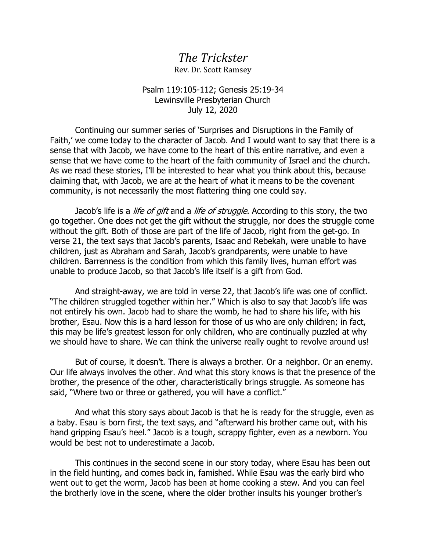## *The Trickster*

Rev. Dr. Scott Ramsey

## Psalm 119:105-112; Genesis 25:19-34 Lewinsville Presbyterian Church July 12, 2020

Continuing our summer series of 'Surprises and Disruptions in the Family of Faith,' we come today to the character of Jacob. And I would want to say that there is a sense that with Jacob, we have come to the heart of this entire narrative, and even a sense that we have come to the heart of the faith community of Israel and the church. As we read these stories, I'll be interested to hear what you think about this, because claiming that, with Jacob, we are at the heart of what it means to be the covenant community, is not necessarily the most flattering thing one could say.

Jacob's life is a *life of gift* and a *life of struggle*. According to this story, the two go together. One does not get the gift without the struggle, nor does the struggle come without the gift. Both of those are part of the life of Jacob, right from the get-go. In verse 21, the text says that Jacob's parents, Isaac and Rebekah, were unable to have children, just as Abraham and Sarah, Jacob's grandparents, were unable to have children. Barrenness is the condition from which this family lives, human effort was unable to produce Jacob, so that Jacob's life itself is a gift from God.

And straight-away, we are told in verse 22, that Jacob's life was one of conflict. "The children struggled together within her." Which is also to say that Jacob's life was not entirely his own. Jacob had to share the womb, he had to share his life, with his brother, Esau. Now this is a hard lesson for those of us who are only children; in fact, this may be life's greatest lesson for only children, who are continually puzzled at why we should have to share. We can think the universe really ought to revolve around us!

But of course, it doesn't. There is always a brother. Or a neighbor. Or an enemy. Our life always involves the other. And what this story knows is that the presence of the brother, the presence of the other, characteristically brings struggle. As someone has said, "Where two or three or gathered, you will have a conflict."

And what this story says about Jacob is that he is ready for the struggle, even as a baby. Esau is born first, the text says, and "afterward his brother came out, with his hand gripping Esau's heel." Jacob is a tough, scrappy fighter, even as a newborn. You would be best not to underestimate a Jacob.

This continues in the second scene in our story today, where Esau has been out in the field hunting, and comes back in, famished. While Esau was the early bird who went out to get the worm, Jacob has been at home cooking a stew. And you can feel the brotherly love in the scene, where the older brother insults his younger brother's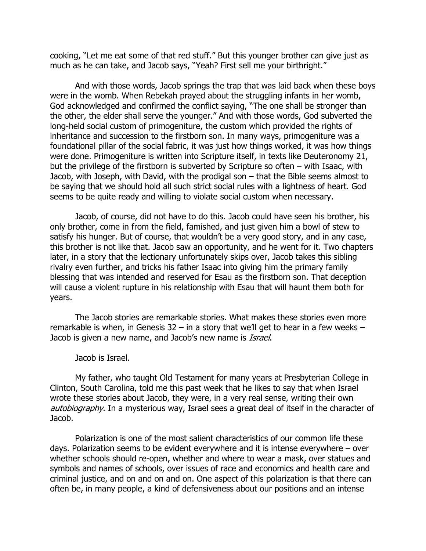cooking, "Let me eat some of that red stuff." But this younger brother can give just as much as he can take, and Jacob says, "Yeah? First sell me your birthright."

And with those words, Jacob springs the trap that was laid back when these boys were in the womb. When Rebekah prayed about the struggling infants in her womb, God acknowledged and confirmed the conflict saying, "The one shall be stronger than the other, the elder shall serve the younger." And with those words, God subverted the long-held social custom of primogeniture, the custom which provided the rights of inheritance and succession to the firstborn son. In many ways, primogeniture was a foundational pillar of the social fabric, it was just how things worked, it was how things were done. Primogeniture is written into Scripture itself, in texts like Deuteronomy 21, but the privilege of the firstborn is subverted by Scripture so often – with Isaac, with Jacob, with Joseph, with David, with the prodigal son – that the Bible seems almost to be saying that we should hold all such strict social rules with a lightness of heart. God seems to be quite ready and willing to violate social custom when necessary.

Jacob, of course, did not have to do this. Jacob could have seen his brother, his only brother, come in from the field, famished, and just given him a bowl of stew to satisfy his hunger. But of course, that wouldn't be a very good story, and in any case, this brother is not like that. Jacob saw an opportunity, and he went for it. Two chapters later, in a story that the lectionary unfortunately skips over, Jacob takes this sibling rivalry even further, and tricks his father Isaac into giving him the primary family blessing that was intended and reserved for Esau as the firstborn son. That deception will cause a violent rupture in his relationship with Esau that will haunt them both for years.

The Jacob stories are remarkable stories. What makes these stories even more remarkable is when, in Genesis  $32 - in$  a story that we'll get to hear in a few weeks  $-$ Jacob is given a new name, and Jacob's new name is *Israel*.

Jacob is Israel.

My father, who taught Old Testament for many years at Presbyterian College in Clinton, South Carolina, told me this past week that he likes to say that when Israel wrote these stories about Jacob, they were, in a very real sense, writing their own autobiography. In a mysterious way, Israel sees a great deal of itself in the character of Jacob.

Polarization is one of the most salient characteristics of our common life these days. Polarization seems to be evident everywhere and it is intense everywhere – over whether schools should re-open, whether and where to wear a mask, over statues and symbols and names of schools, over issues of race and economics and health care and criminal justice, and on and on and on. One aspect of this polarization is that there can often be, in many people, a kind of defensiveness about our positions and an intense